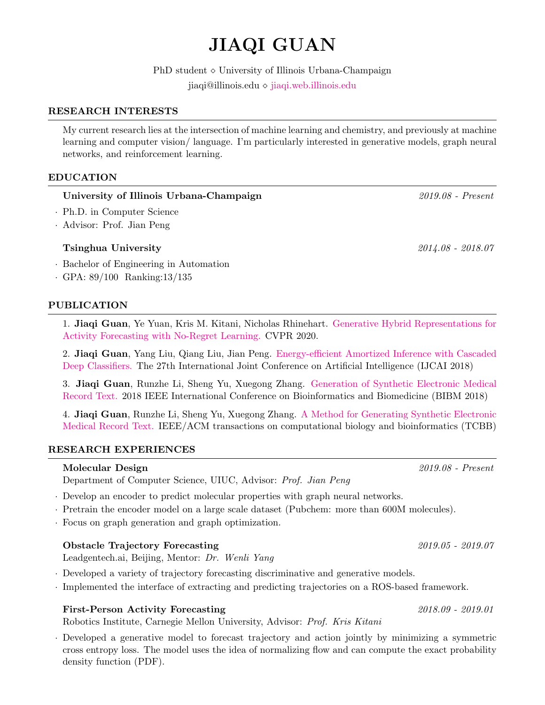# JIAQI GUAN

 ${\rm PhD}$  student  $\diamond$  University of Illinois Urbana-Champaign jiaqi@illinois.edu [jiaqi.web.illinois.edu](http://jiaqi.web.illinois.edu/)

#### RESEARCH INTERESTS

My current research lies at the intersection of machine learning and chemistry, and previously at machine learning and computer vision/ language. I'm particularly interested in generative models, graph neural networks, and reinforcement learning.

## EDUCATION

## University of Illinois Urbana-Champaign 2019.08 - Present

- · Ph.D. in Computer Science
- · Advisor: Prof. Jian Peng

## Tsinghua University 2014.08 - 2018.07

- · Bachelor of Engineering in Automation
- · GPA: 89/100 Ranking:13/135

#### PUBLICATION

1. Jiaqi Guan, Ye Yuan, Kris M. Kitani, Nicholas Rhinehart. [Generative Hybrid Representations for](https://arxiv.org/abs/1904.06250) [Activity Forecasting with No-Regret Learning.](https://arxiv.org/abs/1904.06250) CVPR 2020.

2. Jiaqi Guan, Yang Liu, Qiang Liu, Jian Peng. [Energy-efficient Amortized Inference with Cascaded](http://jiaqi.web.illinois.edu/files/IJCAI2018_Jiaqi.pdf) [Deep Classifiers.](http://jiaqi.web.illinois.edu/files/IJCAI2018_Jiaqi.pdf) The 27th International Joint Conference on Artificial Intelligence (IJCAI 2018)

3. Jiaqi Guan, Runzhe Li, Sheng Yu, Xuegong Zhang. [Generation of Synthetic Electronic Medical](http://jiaqi.web.illinois.edu/files/BIBM2018_Jiaqi.pdf) [Record Text.](http://jiaqi.web.illinois.edu/files/BIBM2018_Jiaqi.pdf) 2018 IEEE International Conference on Bioinformatics and Biomedicine (BIBM 2018)

4. Jiaqi Guan, Runzhe Li, Sheng Yu, Xuegong Zhang. [A Method for Generating Synthetic Electronic](https://ieeexplore.ieee.org/abstract/document/8880542) [Medical Record Text.](https://ieeexplore.ieee.org/abstract/document/8880542) IEEE/ACM transactions on computational biology and bioinformatics (TCBB)

## RESEARCH EXPERIENCES

## Molecular Design 2019.08 - Present

Department of Computer Science, UIUC, Advisor: Prof. Jian Peng

· Develop an encoder to predict molecular properties with graph neural networks.

- · Pretrain the encoder model on a large scale dataset (Pubchem: more than 600M molecules).
- · Focus on graph generation and graph optimization.

## Obstacle Trajectory Forecasting 2019.05 - 2019.07

Leadgentech.ai, Beijing, Mentor: Dr. Wenli Yang

- · Developed a variety of trajectory forecasting discriminative and generative models.
- · Implemented the interface of extracting and predicting trajectories on a ROS-based framework.

## First-Person Activity Forecasting 2018.09 - 2019.01

Robotics Institute, Carnegie Mellon University, Advisor: Prof. Kris Kitani

· Developed a generative model to forecast trajectory and action jointly by minimizing a symmetric cross entropy loss. The model uses the idea of normalizing flow and can compute the exact probability density function (PDF).